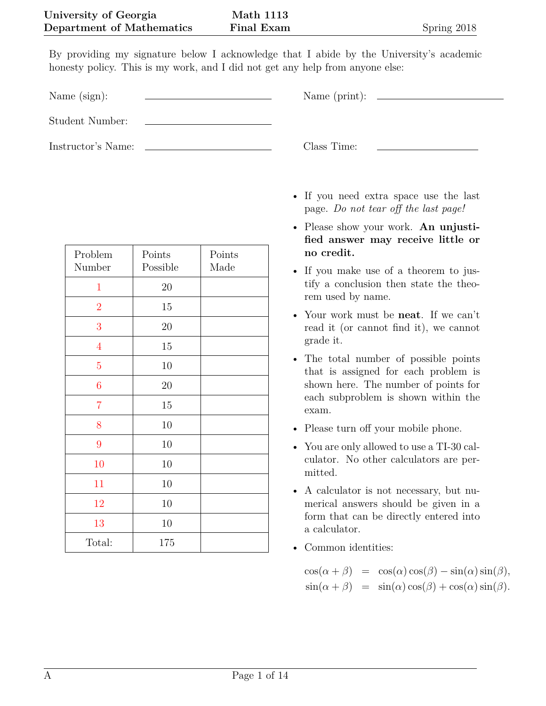**Math 1113 Final Exam** Spring 2018

By providing my signature below I acknowledge that I abide by the University's academic honesty policy. This is my work, and I did not get any help from anyone else:

Name (sign): Name (print):

Student Number:

Instructor's Name: Class Time:

| Problem<br>Number | Points<br>Possible | Points<br>Made |  |
|-------------------|--------------------|----------------|--|
| $\mathbf 1$       | 20                 |                |  |
| $\overline{2}$    | 15                 |                |  |
| 3                 | 20                 |                |  |
| $\overline{4}$    | 15                 |                |  |
| $\overline{5}$    | 10                 |                |  |
| $\overline{6}$    | 20                 |                |  |
| $\overline{7}$    | 15                 |                |  |
| 8                 | 10                 |                |  |
| 9                 | 10                 |                |  |
| 10                | 10                 |                |  |
| 11                | 10                 |                |  |
| 12                | 10                 |                |  |
| 13                | 10                 |                |  |
| Total:            | 175                |                |  |

- If you need extra space use the last page. *Do not tear off the last page!*
- Please show your work. **An unjustified answer may receive little or no credit.**
- If you make use of a theorem to justify a conclusion then state the theorem used by name.
- Your work must be **neat**. If we can't read it (or cannot find it), we cannot grade it.
- The total number of possible points that is assigned for each problem is shown here. The number of points for each subproblem is shown within the exam.
- Please turn off your mobile phone.
- You are only allowed to use a TI-30 calculator. No other calculators are permitted.
- A calculator is not necessary, but numerical answers should be given in a form that can be directly entered into a calculator.
- Common identities:

 $\cos(\alpha + \beta) = \cos(\alpha)\cos(\beta) - \sin(\alpha)\sin(\beta),$  $\sin(\alpha + \beta) = \sin(\alpha)\cos(\beta) + \cos(\alpha)\sin(\beta).$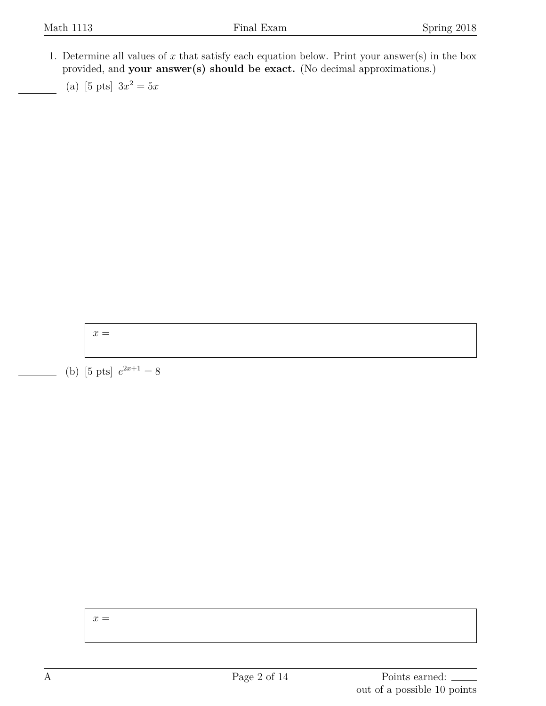- <span id="page-1-0"></span>1. Determine all values of *x* that satisfy each equation below. Print your answer(s) in the box provided, and **your answer(s) should be exact.** (No decimal approximations.)
	- (a) [5 pts]  $3x^2 = 5x$

 $x =$ 

(b) [5 pts]  $e^{2x+1} = 8$ 

 $x =$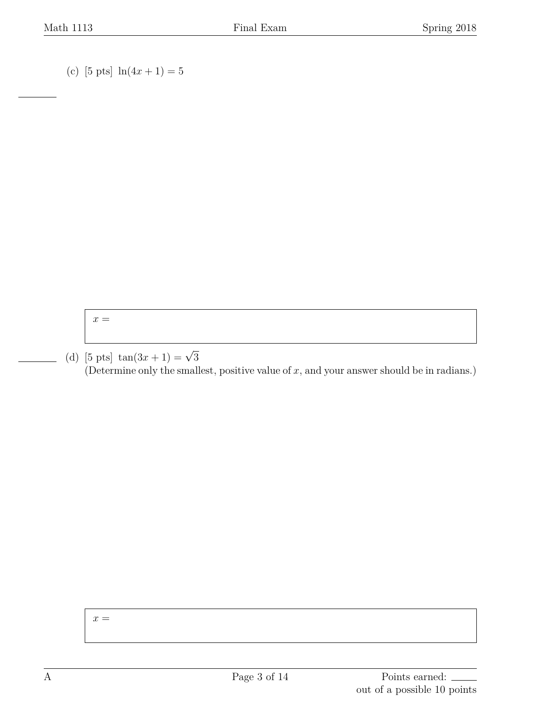(c) [5 pts]  $\ln(4x + 1) = 5$ 

 $x =$ 

(d) [5 pts]  $\tan(3x+1) = \sqrt{3}$ (Determine only the smallest, positive value of *x*, and your answer should be in radians.)

 $x =$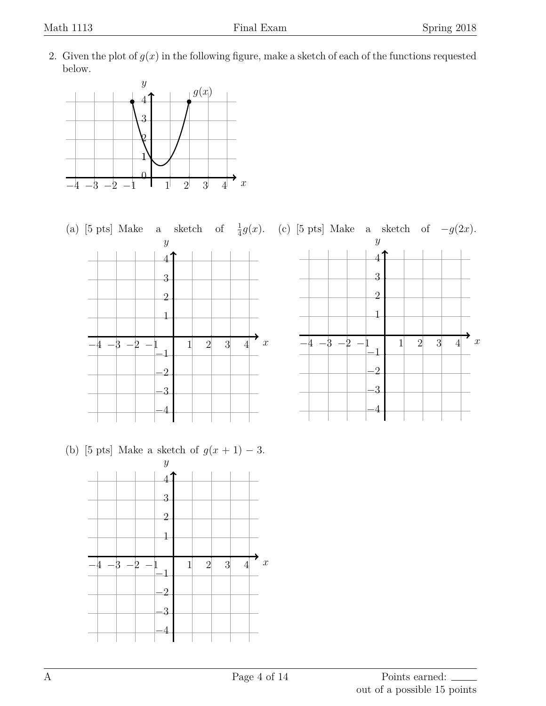<span id="page-3-0"></span>2. Given the plot of  $g(x)$  in the following figure, make a sketch of each of the functions requested below.





(b) [5 pts] Make a sketch of  $g(x + 1) - 3$ .

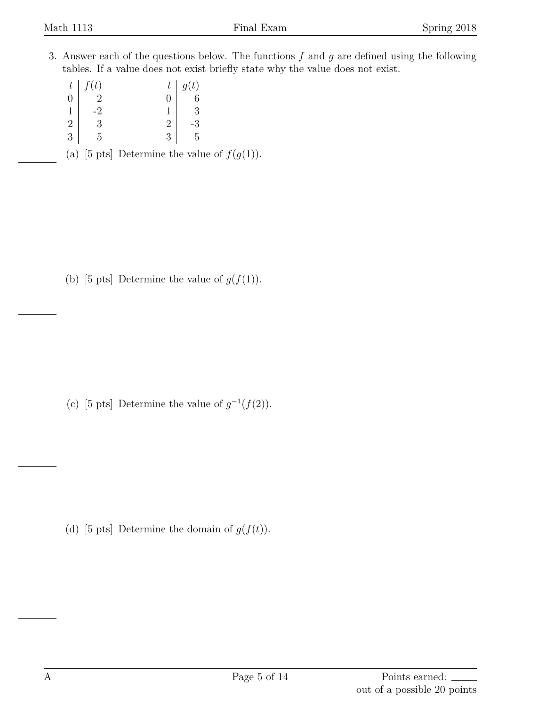<span id="page-4-0"></span>3. Answer each of the questions below. The functions *f* and *g* are defined using the following tables. If a value does not exist briefly state why the value does not exist.

| t.             | (t) | t. | q(t) |
|----------------|-----|----|------|
| $\Box$         |     |    |      |
| 1              | ٠,  |    | ر.   |
| $\overline{2}$ | 2   |    |      |
| 3              | Ц   |    | r    |

(a) [5 pts] Determine the value of  $f(g(1))$ .

(b) [5 pts] Determine the value of  $g(f(1))$ .

(c) [5 pts] Determine the value of  $g^{-1}(f(2))$ .

(d) [5 pts] Determine the domain of  $g(f(t))$ .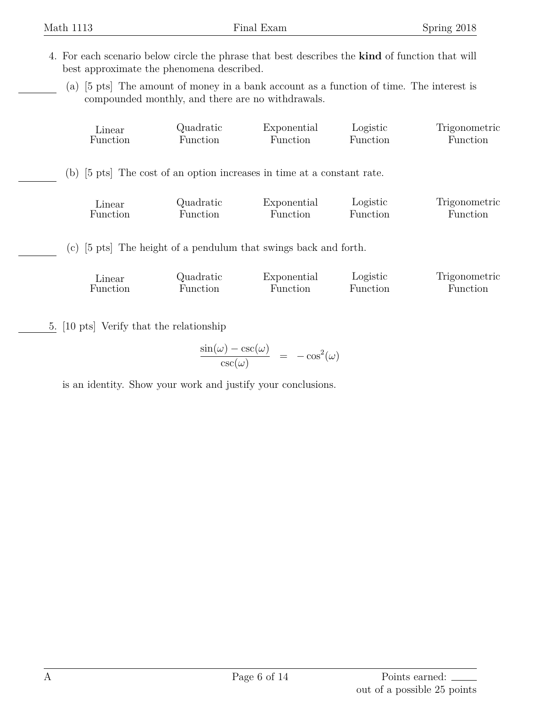- <span id="page-5-0"></span>4. For each scenario below circle the phrase that best describes the **kind** of function that will best approximate the phenomena described.
	- (a) [5 pts] The amount of money in a bank account as a function of time. The interest is compounded monthly, and there are no withdrawals.

|                                                                            | Linear   | Quadratic | Exponential | Logistic | Trigonometric |  |  |  |
|----------------------------------------------------------------------------|----------|-----------|-------------|----------|---------------|--|--|--|
|                                                                            | Function | Function  | Function    | Function | Function      |  |  |  |
| (b) [5 pts] The cost of an option increases in time at a constant rate.    |          |           |             |          |               |  |  |  |
|                                                                            | Linear   | Quadratic | Exponential | Logistic | Trigonometric |  |  |  |
|                                                                            | Function | Function  | Function    | Function | Function      |  |  |  |
| (c) $[5 \text{ pts}]$ The height of a pendulum that swings back and forth. |          |           |             |          |               |  |  |  |
|                                                                            | Linear   | Quadratic | Exponential | Logistic | Trigonometric |  |  |  |
|                                                                            | Function | Function  | Function    | Function | Function      |  |  |  |

<span id="page-5-1"></span>5. [10 pts] Verify that the relationship

$$
\frac{\sin(\omega) - \csc(\omega)}{\csc(\omega)} = -\cos^2(\omega)
$$

is an identity. Show your work and justify your conclusions.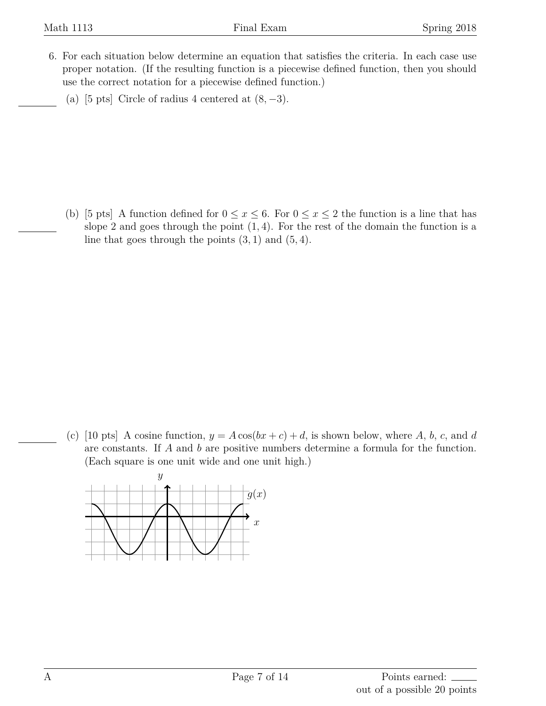- <span id="page-6-0"></span>6. For each situation below determine an equation that satisfies the criteria. In each case use proper notation. (If the resulting function is a piecewise defined function, then you should use the correct notation for a piecewise defined function.)
	- (a) [5 pts] Circle of radius 4 centered at  $(8, -3)$ .

(b) [5 pts] A function defined for  $0 \le x \le 6$ . For  $0 \le x \le 2$  the function is a line that has slope 2 and goes through the point (1*,* 4). For the rest of the domain the function is a line that goes through the points  $(3, 1)$  and  $(5, 4)$ .

(c) [10 pts] A cosine function,  $y = A \cos(bx + c) + d$ , is shown below, where A, b, c, and d are constants. If *A* and *b* are positive numbers determine a formula for the function. (Each square is one unit wide and one unit high.)

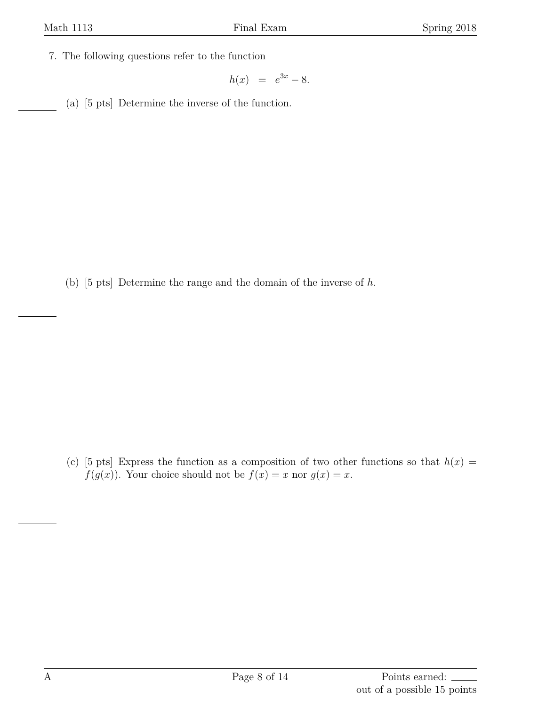<span id="page-7-0"></span>7. The following questions refer to the function

$$
h(x) = e^{3x} - 8.
$$

(a) [5 pts] Determine the inverse of the function.

(b) [5 pts] Determine the range and the domain of the inverse of *h*.

(c) [5 pts] Express the function as a composition of two other functions so that  $h(x) =$ *f*(*g*(*x*)). Your choice should not be  $f(x) = x$  nor  $g(x) = x$ .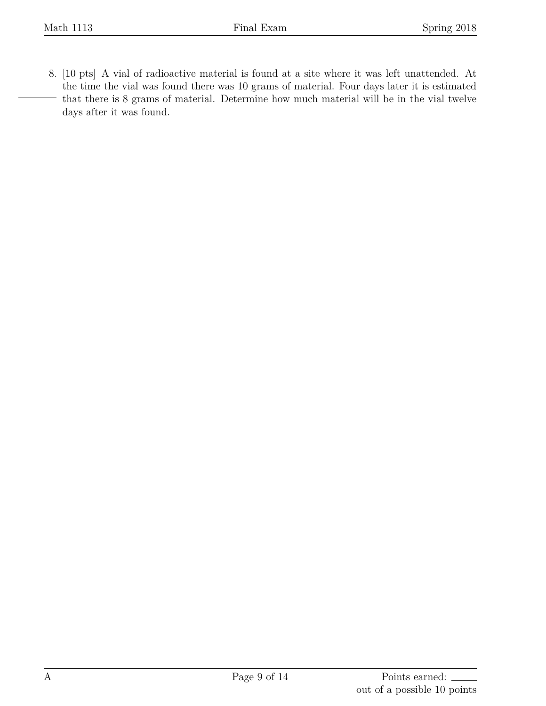<span id="page-8-0"></span>8. [10 pts] A vial of radioactive material is found at a site where it was left unattended. At the time the vial was found there was 10 grams of material. Four days later it is estimated that there is 8 grams of material. Determine how much material will be in the vial twelve days after it was found.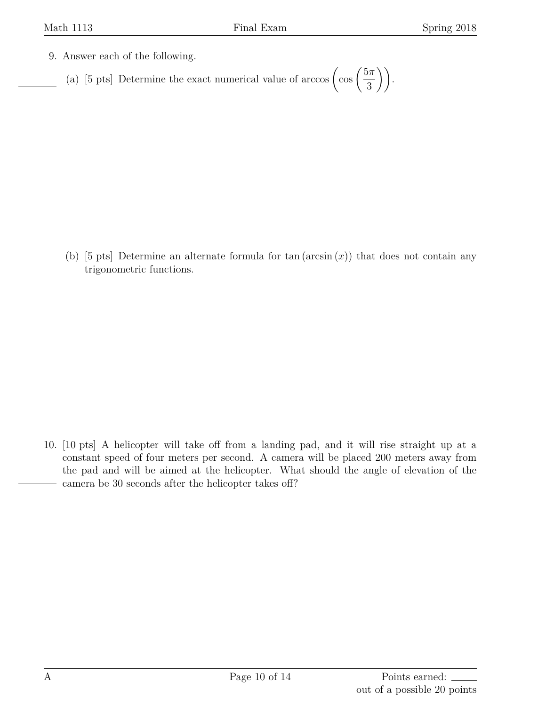- <span id="page-9-0"></span>9. Answer each of the following.
	- (a) [5 pts] Determine the exact numerical value of arccos  $\left(\cos\left(\frac{5\pi}{2}\right)\right)$ 3 )).

(b) [5 pts] Determine an alternate formula for tan (arcsin (*x*)) that does not contain any trigonometric functions.

<span id="page-9-1"></span>10. [10 pts] A helicopter will take off from a landing pad, and it will rise straight up at a constant speed of four meters per second. A camera will be placed 200 meters away from the pad and will be aimed at the helicopter. What should the angle of elevation of the camera be 30 seconds after the helicopter takes off?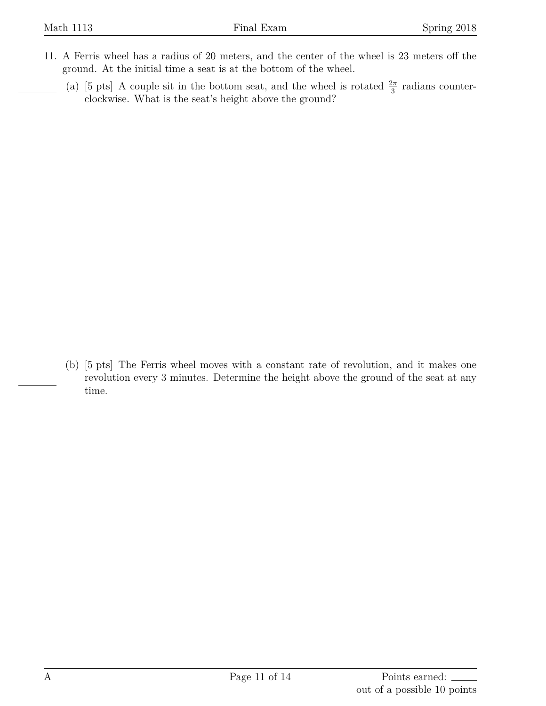- <span id="page-10-0"></span>11. A Ferris wheel has a radius of 20 meters, and the center of the wheel is 23 meters off the ground. At the initial time a seat is at the bottom of the wheel.
	- (a) [5 pts] A couple sit in the bottom seat, and the wheel is rotated  $\frac{2\pi}{3}$  radians counterclockwise. What is the seat's height above the ground?

(b) [5 pts] The Ferris wheel moves with a constant rate of revolution, and it makes one revolution every 3 minutes. Determine the height above the ground of the seat at any time.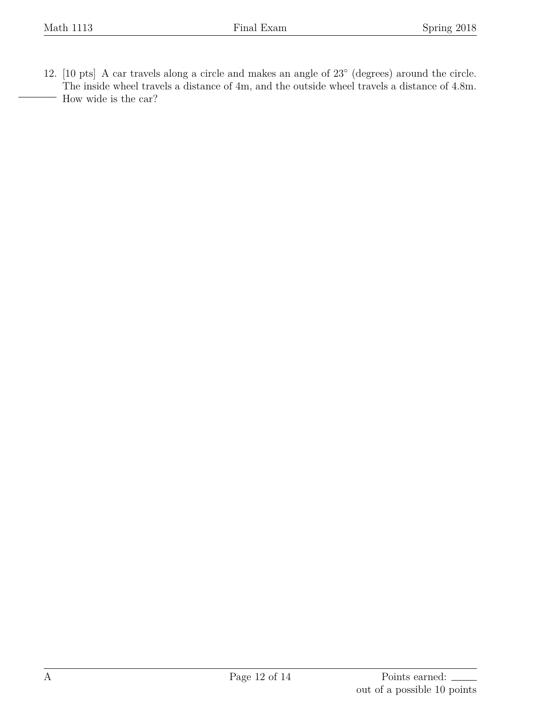<span id="page-11-0"></span>12. [10 pts] A car travels along a circle and makes an angle of 23*◦* (degrees) around the circle. The inside wheel travels a distance of 4m, and the outside wheel travels a distance of 4.8m. How wide is the car?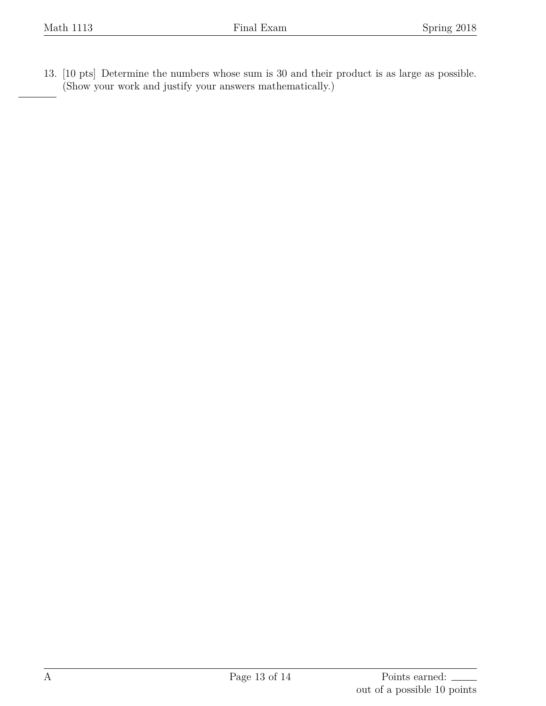<span id="page-12-0"></span>13. [10 pts] Determine the numbers whose sum is 30 and their product is as large as possible. (Show your work and justify your answers mathematically.)